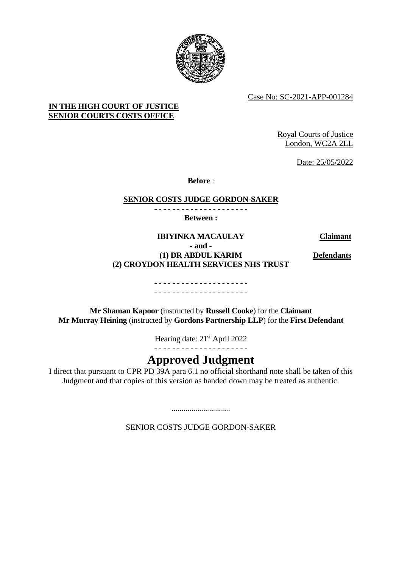

Case No: SC-2021-APP-001284

# **IN THE HIGH COURT OF JUSTICE SENIOR COURTS COSTS OFFICE**

Royal Courts of Justice London, WC2A 2LL

Date: 25/05/2022

**Before** :

## **SENIOR COSTS JUDGE GORDON-SAKER**

- - - - - - - - - - - - - - - - - - - - - **Between :**

**IBIYINKA MACAULAY Claimant - and - (1) DR ABDUL KARIM (2) CROYDON HEALTH SERVICES NHS TRUST**

**Defendants**

#### - - - - - - - - - - - - - - - - - - - - - - - - - - - - - - - - - - - - - - - - - -

**Mr Shaman Kapoor** (instructed by **Russell Cooke**) for the **Claimant Mr Murray Heining** (instructed by **Gordons Partnership LLP**) for the **First Defendant**

Hearing date: 21<sup>st</sup> April 2022

- - - - - - - - - - - - - - - - - - - - -

# **Approved Judgment**

I direct that pursuant to CPR PD 39A para 6.1 no official shorthand note shall be taken of this Judgment and that copies of this version as handed down may be treated as authentic.

SENIOR COSTS JUDGE GORDON-SAKER

.............................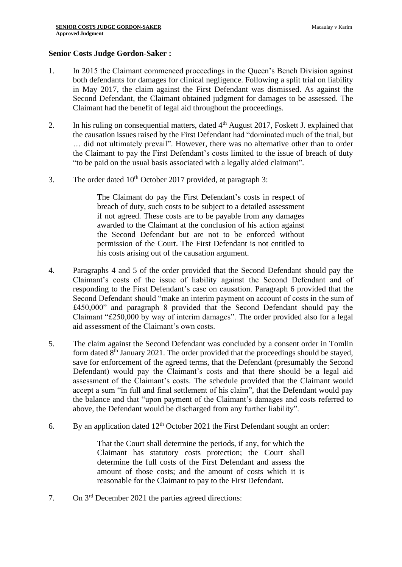#### **Senior Costs Judge Gordon-Saker :**

- 1. In 2015 the Claimant commenced proceedings in the Queen's Bench Division against both defendants for damages for clinical negligence. Following a split trial on liability in May 2017, the claim against the First Defendant was dismissed. As against the Second Defendant, the Claimant obtained judgment for damages to be assessed. The Claimant had the benefit of legal aid throughout the proceedings.
- 2. In his ruling on consequential matters, dated  $4<sup>th</sup>$  August 2017, Foskett J. explained that the causation issues raised by the First Defendant had "dominated much of the trial, but … did not ultimately prevail". However, there was no alternative other than to order the Claimant to pay the First Defendant's costs limited to the issue of breach of duty "to be paid on the usual basis associated with a legally aided claimant".
- 3. The order dated  $10^{th}$  October 2017 provided, at paragraph 3:

The Claimant do pay the First Defendant's costs in respect of breach of duty, such costs to be subject to a detailed assessment if not agreed. These costs are to be payable from any damages awarded to the Claimant at the conclusion of his action against the Second Defendant but are not to be enforced without permission of the Court. The First Defendant is not entitled to his costs arising out of the causation argument.

- 4. Paragraphs 4 and 5 of the order provided that the Second Defendant should pay the Claimant's costs of the issue of liability against the Second Defendant and of responding to the First Defendant's case on causation. Paragraph 6 provided that the Second Defendant should "make an interim payment on account of costs in the sum of £450,000" and paragraph 8 provided that the Second Defendant should pay the Claimant "£250,000 by way of interim damages". The order provided also for a legal aid assessment of the Claimant's own costs.
- 5. The claim against the Second Defendant was concluded by a consent order in Tomlin form dated 8<sup>th</sup> January 2021. The order provided that the proceedings should be stayed, save for enforcement of the agreed terms, that the Defendant (presumably the Second Defendant) would pay the Claimant's costs and that there should be a legal aid assessment of the Claimant's costs. The schedule provided that the Claimant would accept a sum "in full and final settlement of his claim", that the Defendant would pay the balance and that "upon payment of the Claimant's damages and costs referred to above, the Defendant would be discharged from any further liability".
- 6. By an application dated  $12<sup>th</sup>$  October 2021 the First Defendant sought an order:

That the Court shall determine the periods, if any, for which the Claimant has statutory costs protection; the Court shall determine the full costs of the First Defendant and assess the amount of those costs; and the amount of costs which it is reasonable for the Claimant to pay to the First Defendant.

7. On 3rd December 2021 the parties agreed directions: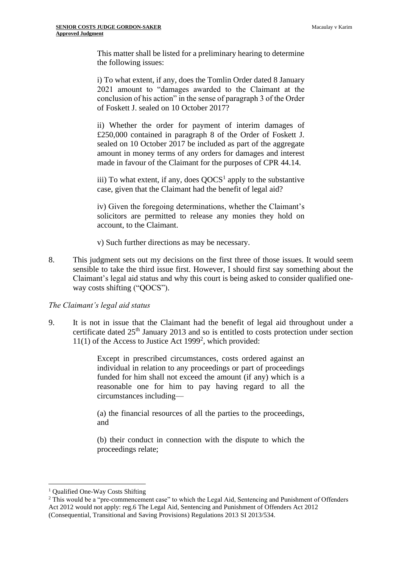This matter shall be listed for a preliminary hearing to determine the following issues:

i) To what extent, if any, does the Tomlin Order dated 8 January 2021 amount to "damages awarded to the Claimant at the conclusion of his action" in the sense of paragraph 3 of the Order of Foskett J. sealed on 10 October 2017?

ii) Whether the order for payment of interim damages of £250,000 contained in paragraph 8 of the Order of Foskett J. sealed on 10 October 2017 be included as part of the aggregate amount in money terms of any orders for damages and interest made in favour of the Claimant for the purposes of CPR 44.14.

iii) To what extent, if any, does  $QOCS<sup>1</sup>$  apply to the substantive case, given that the Claimant had the benefit of legal aid?

iv) Given the foregoing determinations, whether the Claimant's solicitors are permitted to release any monies they hold on account, to the Claimant.

v) Such further directions as may be necessary.

8. This judgment sets out my decisions on the first three of those issues. It would seem sensible to take the third issue first. However, I should first say something about the Claimant's legal aid status and why this court is being asked to consider qualified oneway costs shifting ("QOCS").

## *The Claimant's legal aid status*

9. It is not in issue that the Claimant had the benefit of legal aid throughout under a certificate dated 25th January 2013 and so is entitled to costs protection under section  $11(1)$  of the Access to Justice Act 1999<sup>2</sup>, which provided:

> Except in prescribed circumstances, costs ordered against an individual in relation to any proceedings or part of proceedings funded for him shall not exceed the amount (if any) which is a reasonable one for him to pay having regard to all the circumstances including—

> (a) the financial resources of all the parties to the proceedings, and

> (b) their conduct in connection with the dispute to which the proceedings relate;

<sup>&</sup>lt;sup>1</sup> Qualified One-Way Costs Shifting

<sup>&</sup>lt;sup>2</sup> This would be a "pre-commencement case" to which the Legal Aid, Sentencing and Punishment of Offenders Act 2012 would not apply: reg.6 The Legal Aid, Sentencing and Punishment of Offenders Act 2012 (Consequential, Transitional and Saving Provisions) Regulations 2013 SI 2013/534.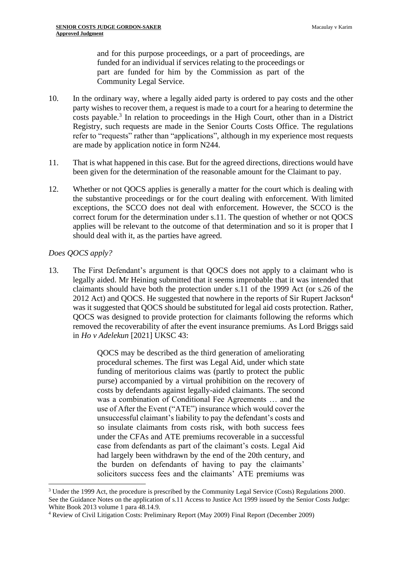and for this purpose proceedings, or a part of proceedings, are funded for an individual if services relating to the proceedings or part are funded for him by the Commission as part of the Community Legal Service.

- 10. In the ordinary way, where a legally aided party is ordered to pay costs and the other party wishes to recover them, a request is made to a court for a hearing to determine the costs payable.<sup>3</sup> In relation to proceedings in the High Court, other than in a District Registry, such requests are made in the Senior Courts Costs Office. The regulations refer to "requests" rather than "applications", although in my experience most requests are made by application notice in form N244.
- 11. That is what happened in this case. But for the agreed directions, directions would have been given for the determination of the reasonable amount for the Claimant to pay.
- 12. Whether or not QOCS applies is generally a matter for the court which is dealing with the substantive proceedings or for the court dealing with enforcement. With limited exceptions, the SCCO does not deal with enforcement. However, the SCCO is the correct forum for the determination under s.11. The question of whether or not QOCS applies will be relevant to the outcome of that determination and so it is proper that I should deal with it, as the parties have agreed.

#### *Does QOCS apply?*

13. The First Defendant's argument is that QOCS does not apply to a claimant who is legally aided. Mr Heining submitted that it seems improbable that it was intended that claimants should have both the protection under s.11 of the 1999 Act (or s.26 of the 2012 Act) and OOCS. He suggested that nowhere in the reports of Sir Rupert Jackson<sup>4</sup> was it suggested that QOCS should be substituted for legal aid costs protection. Rather, QOCS was designed to provide protection for claimants following the reforms which removed the recoverability of after the event insurance premiums. As Lord Briggs said in *Ho v Adelekun* [2021] UKSC 43:

> QOCS may be described as the third generation of ameliorating procedural schemes. The first was Legal Aid, under which state funding of meritorious claims was (partly to protect the public purse) accompanied by a virtual prohibition on the recovery of costs by defendants against legally-aided claimants. The second was a combination of Conditional Fee Agreements … and the use of After the Event ("ATE") insurance which would cover the unsuccessful claimant's liability to pay the defendant's costs and so insulate claimants from costs risk, with both success fees under the CFAs and ATE premiums recoverable in a successful case from defendants as part of the claimant's costs. Legal Aid had largely been withdrawn by the end of the 20th century, and the burden on defendants of having to pay the claimants' solicitors success fees and the claimants' ATE premiums was

<sup>3</sup> Under the 1999 Act, the procedure is prescribed by the Community Legal Service (Costs) Regulations 2000. See the Guidance Notes on the application of s.11 Access to Justice Act 1999 issued by the Senior Costs Judge: White Book 2013 volume 1 para 48.14.9.

<sup>4</sup> Review of Civil Litigation Costs: Preliminary Report (May 2009) Final Report (December 2009)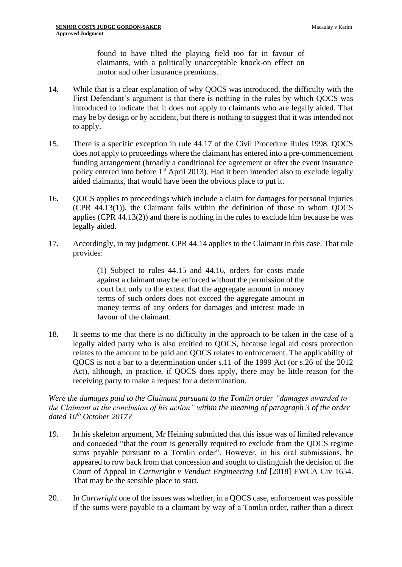found to have tilted the playing field too far in favour of claimants, with a politically unacceptable knock-on effect on motor and other insurance premiums.

- 14. While that is a clear explanation of why QOCS was introduced, the difficulty with the First Defendant's argument is that there is nothing in the rules by which QOCS was introduced to indicate that it does not apply to claimants who are legally aided. That may be by design or by accident, but there is nothing to suggest that it was intended not to apply.
- 15. There is a specific exception in rule 44.17 of the Civil Procedure Rules 1998. QOCS does not apply to proceedings where the claimant has entered into a pre-commencement funding arrangement (broadly a conditional fee agreement or after the event insurance policy entered into before 1st April 2013). Had it been intended also to exclude legally aided claimants, that would have been the obvious place to put it.
- 16. QOCS applies to proceedings which include a claim for damages for personal injuries (CPR 44.13(1)), the Claimant falls within the definition of those to whom QOCS applies (CPR 44.13(2)) and there is nothing in the rules to exclude him because he was legally aided.
- 17. Accordingly, in my judgment, CPR 44.14 applies to the Claimant in this case. That rule provides:

(1) Subject to rules 44.15 and 44.16, orders for costs made against a claimant may be enforced without the permission of the court but only to the extent that the aggregate amount in money terms of such orders does not exceed the aggregate amount in money terms of any orders for damages and interest made in favour of the claimant.

18. It seems to me that there is no difficulty in the approach to be taken in the case of a legally aided party who is also entitled to QOCS, because legal aid costs protection relates to the amount to be paid and QOCS relates to enforcement. The applicability of QOCS is not a bar to a determination under s.11 of the 1999 Act (or s.26 of the 2012 Act), although, in practice, if QOCS does apply, there may be little reason for the receiving party to make a request for a determination.

*Were the damages paid to the Claimant pursuant to the Tomlin order "damages awarded to the Claimant at the conclusion of his action" within the meaning of paragraph 3 of the order dated 10th October 2017?*

- 19. In his skeleton argument, Mr Heining submitted that this issue was of limited relevance and conceded "that the court is generally required to exclude from the QOCS regime sums payable pursuant to a Tomlin order". However, in his oral submissions, he appeared to row back from that concession and sought to distinguish the decision of the Court of Appeal in *Cartwright v Venduct Engineering Ltd* [2018] EWCA Civ 1654. That may be the sensible place to start.
- 20. In *Cartwright* one of the issues was whether, in a QOCS case, enforcement was possible if the sums were payable to a claimant by way of a Tomlin order, rather than a direct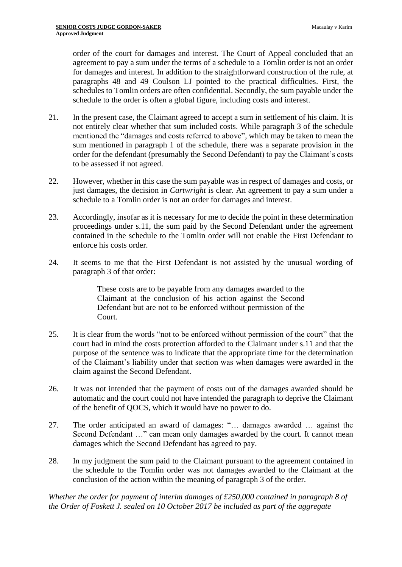order of the court for damages and interest. The Court of Appeal concluded that an agreement to pay a sum under the terms of a schedule to a Tomlin order is not an order for damages and interest. In addition to the straightforward construction of the rule, at paragraphs 48 and 49 Coulson LJ pointed to the practical difficulties. First, the schedules to Tomlin orders are often confidential. Secondly, the sum payable under the schedule to the order is often a global figure, including costs and interest.

- 21. In the present case, the Claimant agreed to accept a sum in settlement of his claim. It is not entirely clear whether that sum included costs. While paragraph 3 of the schedule mentioned the "damages and costs referred to above", which may be taken to mean the sum mentioned in paragraph 1 of the schedule, there was a separate provision in the order for the defendant (presumably the Second Defendant) to pay the Claimant's costs to be assessed if not agreed.
- 22. However, whether in this case the sum payable was in respect of damages and costs, or just damages, the decision in *Cartwright* is clear. An agreement to pay a sum under a schedule to a Tomlin order is not an order for damages and interest.
- 23. Accordingly, insofar as it is necessary for me to decide the point in these determination proceedings under s.11, the sum paid by the Second Defendant under the agreement contained in the schedule to the Tomlin order will not enable the First Defendant to enforce his costs order.
- 24. It seems to me that the First Defendant is not assisted by the unusual wording of paragraph 3 of that order:

These costs are to be payable from any damages awarded to the Claimant at the conclusion of his action against the Second Defendant but are not to be enforced without permission of the Court.

- 25. It is clear from the words "not to be enforced without permission of the court" that the court had in mind the costs protection afforded to the Claimant under s.11 and that the purpose of the sentence was to indicate that the appropriate time for the determination of the Claimant's liability under that section was when damages were awarded in the claim against the Second Defendant.
- 26. It was not intended that the payment of costs out of the damages awarded should be automatic and the court could not have intended the paragraph to deprive the Claimant of the benefit of QOCS, which it would have no power to do.
- 27. The order anticipated an award of damages: "… damages awarded … against the Second Defendant …" can mean only damages awarded by the court. It cannot mean damages which the Second Defendant has agreed to pay.
- 28. In my judgment the sum paid to the Claimant pursuant to the agreement contained in the schedule to the Tomlin order was not damages awarded to the Claimant at the conclusion of the action within the meaning of paragraph 3 of the order.

*Whether the order for payment of interim damages of £250,000 contained in paragraph 8 of the Order of Foskett J. sealed on 10 October 2017 be included as part of the aggregate*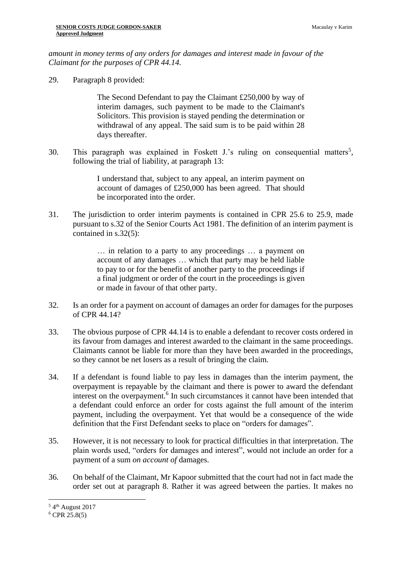*amount in money terms of any orders for damages and interest made in favour of the Claimant for the purposes of CPR 44.14.*

29. Paragraph 8 provided:

The Second Defendant to pay the Claimant £250,000 by way of interim damages, such payment to be made to the Claimant's Solicitors. This provision is stayed pending the determination or withdrawal of any appeal. The said sum is to be paid within 28 days thereafter.

30. This paragraph was explained in Foskett J.'s ruling on consequential matters<sup>5</sup>, following the trial of liability, at paragraph 13:

> I understand that, subject to any appeal, an interim payment on account of damages of £250,000 has been agreed. That should be incorporated into the order.

31. The jurisdiction to order interim payments is contained in CPR 25.6 to 25.9, made pursuant to s.32 of the Senior Courts Act 1981. The definition of an interim payment is contained in s.32(5):

> … in relation to a party to any proceedings … a payment on account of any damages … which that party may be held liable to pay to or for the benefit of another party to the proceedings if a final judgment or order of the court in the proceedings is given or made in favour of that other party.

- 32. Is an order for a payment on account of damages an order for damages for the purposes of CPR 44.14?
- 33. The obvious purpose of CPR 44.14 is to enable a defendant to recover costs ordered in its favour from damages and interest awarded to the claimant in the same proceedings. Claimants cannot be liable for more than they have been awarded in the proceedings, so they cannot be net losers as a result of bringing the claim.
- 34. If a defendant is found liable to pay less in damages than the interim payment, the overpayment is repayable by the claimant and there is power to award the defendant interest on the overpayment.<sup>6</sup> In such circumstances it cannot have been intended that a defendant could enforce an order for costs against the full amount of the interim payment, including the overpayment. Yet that would be a consequence of the wide definition that the First Defendant seeks to place on "orders for damages".
- 35. However, it is not necessary to look for practical difficulties in that interpretation. The plain words used, "orders for damages and interest", would not include an order for a payment of a sum *on account of* damages.
- 36. On behalf of the Claimant, Mr Kapoor submitted that the court had not in fact made the order set out at paragraph 8. Rather it was agreed between the parties. It makes no

<sup>&</sup>lt;sup>5</sup> 4<sup>th</sup> August 2017

 $6$  CPR 25.8(5)